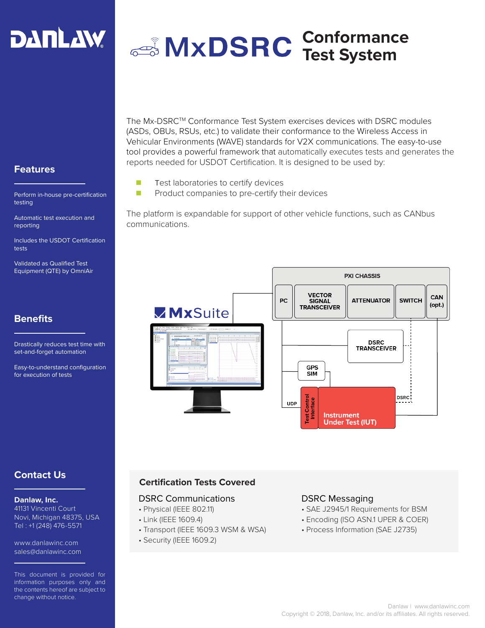

# **Conformance Test System**

**Features**

Perform in-house pre-certification testing

Automatic test execution and reporting

Includes the USDOT Certification tests

Validated as Qualified Test Equipment (QTE) by OmniAir

# **Benefits**

Drastically reduces test time with set-and-forget automation

Easy-to-understand configuration for execution of tests

The Mx-DSRCTM Conformance Test System exercises devices with DSRC modules (ASDs, OBUs, RSUs, etc.) to validate their conformance to the Wireless Access in Vehicular Environments (WAVE) standards for V2X communications. The easy-to-use tool provides a powerful framework that automatically executes tests and generates the reports needed for USDOT Certification. It is designed to be used by:

- **n** Test laboratories to certify devices
- $\blacksquare$  Product companies to pre-certify their devices

The platform is expandable for support of other vehicle functions, such as CANbus communications.



# **Contact Us**

#### **Danlaw, Inc.**

41131 Vincenti Court Novi, Michigan 48375, USA Tel : +1 (248) 476-5571

www.danlawinc.com sales@danlawinc.com

This document is provided for information purposes only and the contents hereof are subject to change without notice.

#### **Certification Tests Covered**

#### DSRC Communications

- Physical (IEEE 802.11)
- Link (IEEE 1609.4)
- Transport (IEEE 1609.3 WSM & WSA)
- Security (IEEE 1609.2)

#### DSRC Messaging

- SAE J2945/1 Requirements for BSM
- Encoding (ISO ASN.1 UPER & COER)
- Process Information (SAE J2735)